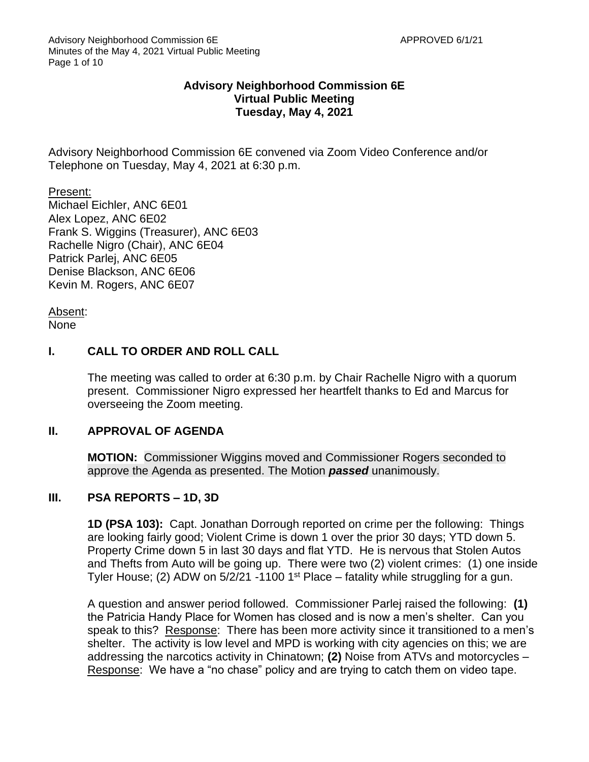## **Advisory Neighborhood Commission 6E Virtual Public Meeting Tuesday, May 4, 2021**

Advisory Neighborhood Commission 6E convened via Zoom Video Conference and/or Telephone on Tuesday, May 4, 2021 at 6:30 p.m.

Present: Michael Eichler, ANC 6E01 Alex Lopez, ANC 6E02 Frank S. Wiggins (Treasurer), ANC 6E03 Rachelle Nigro (Chair), ANC 6E04 Patrick Parlej, ANC 6E05 Denise Blackson, ANC 6E06 Kevin M. Rogers, ANC 6E07

Absent: None

## **I. CALL TO ORDER AND ROLL CALL**

The meeting was called to order at 6:30 p.m. by Chair Rachelle Nigro with a quorum present. Commissioner Nigro expressed her heartfelt thanks to Ed and Marcus for overseeing the Zoom meeting.

### **II. APPROVAL OF AGENDA**

**MOTION:** Commissioner Wiggins moved and Commissioner Rogers seconded to approve the Agenda as presented. The Motion *passed* unanimously.

### **III. PSA REPORTS – 1D, 3D**

**1D (PSA 103):** Capt. Jonathan Dorrough reported on crime per the following: Things are looking fairly good; Violent Crime is down 1 over the prior 30 days; YTD down 5. Property Crime down 5 in last 30 days and flat YTD. He is nervous that Stolen Autos and Thefts from Auto will be going up. There were two (2) violent crimes: (1) one inside Tyler House; (2) ADW on  $5/2/21$  -1100 1<sup>st</sup> Place – fatality while struggling for a gun.

A question and answer period followed. Commissioner Parlej raised the following: **(1)**  the Patricia Handy Place for Women has closed and is now a men's shelter. Can you speak to this? Response: There has been more activity since it transitioned to a men's shelter. The activity is low level and MPD is working with city agencies on this; we are addressing the narcotics activity in Chinatown; **(2)** Noise from ATVs and motorcycles – Response: We have a "no chase" policy and are trying to catch them on video tape.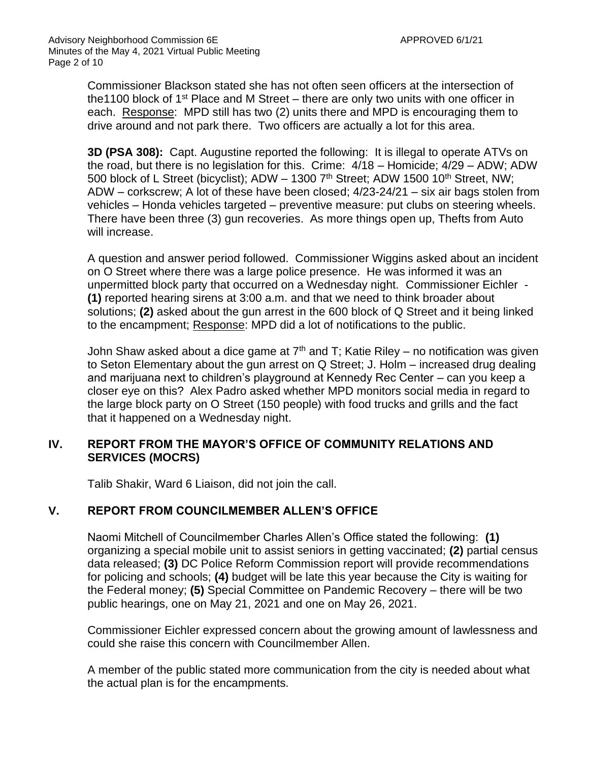Commissioner Blackson stated she has not often seen officers at the intersection of the 1100 block of 1<sup>st</sup> Place and M Street – there are only two units with one officer in each. Response: MPD still has two (2) units there and MPD is encouraging them to drive around and not park there. Two officers are actually a lot for this area.

**3D (PSA 308):** Capt. Augustine reported the following: It is illegal to operate ATVs on the road, but there is no legislation for this. Crime: 4/18 – Homicide; 4/29 – ADW; ADW 500 block of L Street (bicyclist); ADW - 1300 7<sup>th</sup> Street; ADW 1500 10<sup>th</sup> Street, NW; ADW – corkscrew; A lot of these have been closed; 4/23-24/21 – six air bags stolen from vehicles – Honda vehicles targeted – preventive measure: put clubs on steering wheels. There have been three (3) gun recoveries. As more things open up, Thefts from Auto will increase.

A question and answer period followed. Commissioner Wiggins asked about an incident on O Street where there was a large police presence. He was informed it was an unpermitted block party that occurred on a Wednesday night. Commissioner Eichler - **(1)** reported hearing sirens at 3:00 a.m. and that we need to think broader about solutions; **(2)** asked about the gun arrest in the 600 block of Q Street and it being linked to the encampment; Response: MPD did a lot of notifications to the public.

John Shaw asked about a dice game at  $7<sup>th</sup>$  and T; Katie Riley – no notification was given to Seton Elementary about the gun arrest on Q Street; J. Holm – increased drug dealing and marijuana next to children's playground at Kennedy Rec Center – can you keep a closer eye on this? Alex Padro asked whether MPD monitors social media in regard to the large block party on O Street (150 people) with food trucks and grills and the fact that it happened on a Wednesday night.

## **IV. REPORT FROM THE MAYOR'S OFFICE OF COMMUNITY RELATIONS AND SERVICES (MOCRS)**

Talib Shakir, Ward 6 Liaison, did not join the call.

## **V. REPORT FROM COUNCILMEMBER ALLEN'S OFFICE**

Naomi Mitchell of Councilmember Charles Allen's Office stated the following: **(1)**  organizing a special mobile unit to assist seniors in getting vaccinated; **(2)** partial census data released; **(3)** DC Police Reform Commission report will provide recommendations for policing and schools; **(4)** budget will be late this year because the City is waiting for the Federal money; **(5)** Special Committee on Pandemic Recovery – there will be two public hearings, one on May 21, 2021 and one on May 26, 2021.

Commissioner Eichler expressed concern about the growing amount of lawlessness and could she raise this concern with Councilmember Allen.

A member of the public stated more communication from the city is needed about what the actual plan is for the encampments.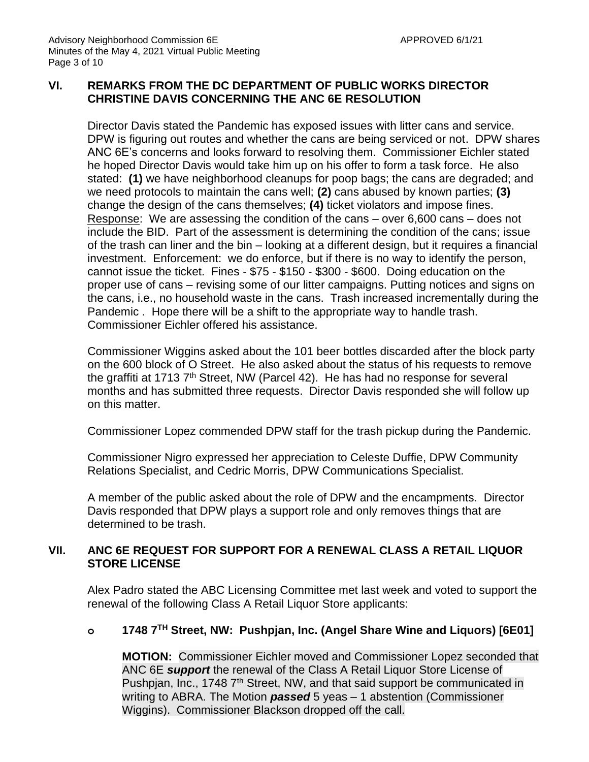## **VI. REMARKS FROM THE DC DEPARTMENT OF PUBLIC WORKS DIRECTOR CHRISTINE DAVIS CONCERNING THE ANC 6E RESOLUTION**

Director Davis stated the Pandemic has exposed issues with litter cans and service. DPW is figuring out routes and whether the cans are being serviced or not. DPW shares ANC 6E's concerns and looks forward to resolving them. Commissioner Eichler stated he hoped Director Davis would take him up on his offer to form a task force. He also stated: **(1)** we have neighborhood cleanups for poop bags; the cans are degraded; and we need protocols to maintain the cans well; **(2)** cans abused by known parties; **(3)** change the design of the cans themselves; **(4)** ticket violators and impose fines. Response: We are assessing the condition of the cans – over 6,600 cans – does not include the BID. Part of the assessment is determining the condition of the cans; issue of the trash can liner and the bin – looking at a different design, but it requires a financial investment. Enforcement: we do enforce, but if there is no way to identify the person, cannot issue the ticket. Fines - \$75 - \$150 - \$300 - \$600. Doing education on the proper use of cans – revising some of our litter campaigns. Putting notices and signs on the cans, i.e., no household waste in the cans. Trash increased incrementally during the Pandemic . Hope there will be a shift to the appropriate way to handle trash. Commissioner Eichler offered his assistance.

Commissioner Wiggins asked about the 101 beer bottles discarded after the block party on the 600 block of O Street. He also asked about the status of his requests to remove the graffiti at 1713  $7<sup>th</sup>$  Street, NW (Parcel 42). He has had no response for several months and has submitted three requests. Director Davis responded she will follow up on this matter.

Commissioner Lopez commended DPW staff for the trash pickup during the Pandemic.

Commissioner Nigro expressed her appreciation to Celeste Duffie, DPW Community Relations Specialist, and Cedric Morris, DPW Communications Specialist.

A member of the public asked about the role of DPW and the encampments. Director Davis responded that DPW plays a support role and only removes things that are determined to be trash.

## **VII. ANC 6E REQUEST FOR SUPPORT FOR A RENEWAL CLASS A RETAIL LIQUOR STORE LICENSE**

Alex Padro stated the ABC Licensing Committee met last week and voted to support the renewal of the following Class A Retail Liquor Store applicants:

## **o 1748 7TH Street, NW: Pushpjan, Inc. (Angel Share Wine and Liquors) [6E01]**

**MOTION:** Commissioner Eichler moved and Commissioner Lopez seconded that ANC 6E *support* the renewal of the Class A Retail Liquor Store License of Pushpian, Inc., 1748 7<sup>th</sup> Street, NW, and that said support be communicated in writing to ABRA. The Motion *passed* 5 yeas – 1 abstention (Commissioner Wiggins). Commissioner Blackson dropped off the call.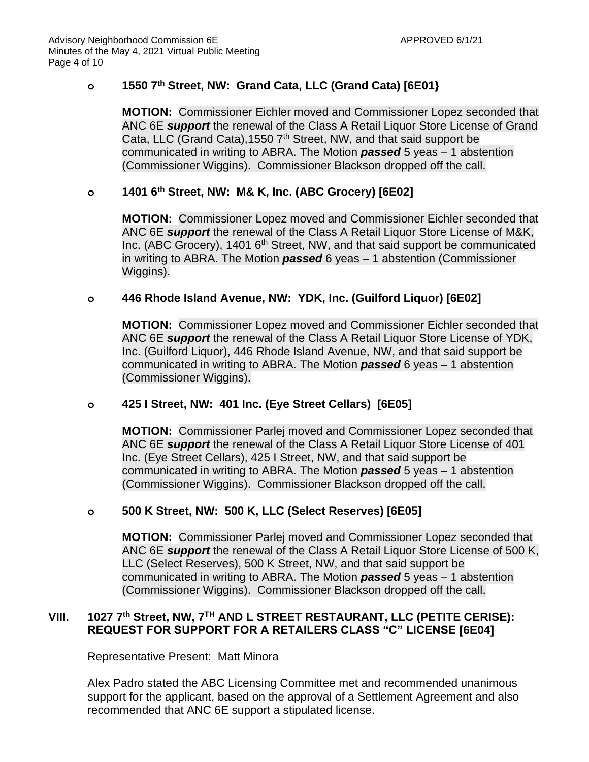# **o 1550 7th Street, NW: Grand Cata, LLC (Grand Cata) [6E01}**

**MOTION:** Commissioner Eichler moved and Commissioner Lopez seconded that ANC 6E *support* the renewal of the Class A Retail Liquor Store License of Grand Cata, LLC (Grand Cata), 1550  $7<sup>th</sup>$  Street, NW, and that said support be communicated in writing to ABRA. The Motion *passed* 5 yeas – 1 abstention (Commissioner Wiggins). Commissioner Blackson dropped off the call.

# **o 1401 6th Street, NW: M& K, Inc. (ABC Grocery) [6E02]**

**MOTION:** Commissioner Lopez moved and Commissioner Eichler seconded that ANC 6E *support* the renewal of the Class A Retail Liquor Store License of M&K, Inc. (ABC Grocery), 1401 6<sup>th</sup> Street, NW, and that said support be communicated in writing to ABRA. The Motion *passed* 6 yeas – 1 abstention (Commissioner Wiggins).

## **o 446 Rhode Island Avenue, NW: YDK, Inc. (Guilford Liquor) [6E02]**

**MOTION:** Commissioner Lopez moved and Commissioner Eichler seconded that ANC 6E *support* the renewal of the Class A Retail Liquor Store License of YDK, Inc. (Guilford Liquor), 446 Rhode Island Avenue, NW, and that said support be communicated in writing to ABRA. The Motion *passed* 6 yeas – 1 abstention (Commissioner Wiggins).

### **o 425 I Street, NW: 401 Inc. (Eye Street Cellars) [6E05]**

**MOTION:** Commissioner Parlej moved and Commissioner Lopez seconded that ANC 6E *support* the renewal of the Class A Retail Liquor Store License of 401 Inc. (Eye Street Cellars), 425 I Street, NW, and that said support be communicated in writing to ABRA. The Motion *passed* 5 yeas – 1 abstention (Commissioner Wiggins). Commissioner Blackson dropped off the call.

## **o 500 K Street, NW: 500 K, LLC (Select Reserves) [6E05]**

**MOTION:** Commissioner Parlej moved and Commissioner Lopez seconded that ANC 6E *support* the renewal of the Class A Retail Liquor Store License of 500 K, LLC (Select Reserves), 500 K Street, NW, and that said support be communicated in writing to ABRA. The Motion *passed* 5 yeas – 1 abstention (Commissioner Wiggins). Commissioner Blackson dropped off the call.

## **VIII. 1027 7th Street, NW, 7 TH AND L STREET RESTAURANT, LLC (PETITE CERISE): REQUEST FOR SUPPORT FOR A RETAILERS CLASS "C" LICENSE [6E04]**

Representative Present: Matt Minora

Alex Padro stated the ABC Licensing Committee met and recommended unanimous support for the applicant, based on the approval of a Settlement Agreement and also recommended that ANC 6E support a stipulated license.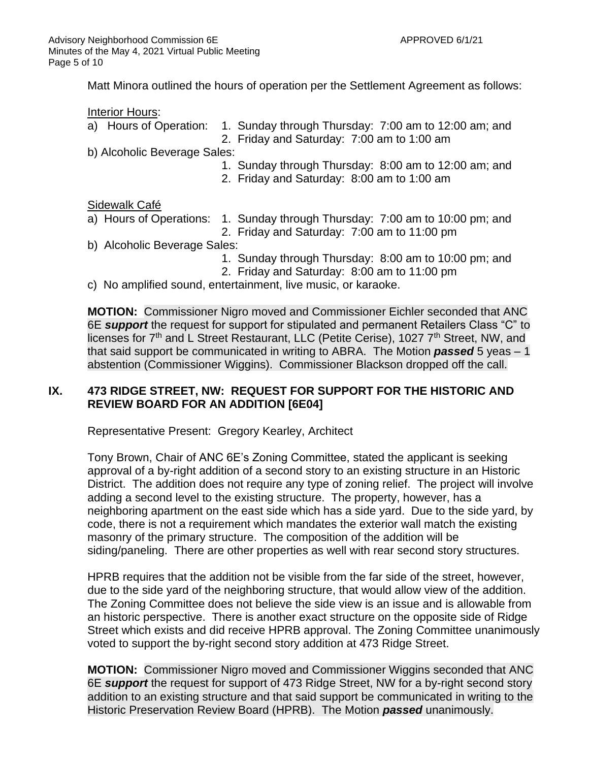Matt Minora outlined the hours of operation per the Settlement Agreement as follows:

#### Interior Hours:

- a) Hours of Operation: 1. Sunday through Thursday: 7:00 am to 12:00 am; and
	- 2. Friday and Saturday: 7:00 am to 1:00 am

b) Alcoholic Beverage Sales:

- 1. Sunday through Thursday: 8:00 am to 12:00 am; and
- 2. Friday and Saturday: 8:00 am to 1:00 am

### Sidewalk Café

- a) Hours of Operations: 1. Sunday through Thursday: 7:00 am to 10:00 pm; and
	- 2. Friday and Saturday: 7:00 am to 11:00 pm
- b) Alcoholic Beverage Sales:
	- 1. Sunday through Thursday: 8:00 am to 10:00 pm; and
	- 2. Friday and Saturday: 8:00 am to 11:00 pm
- c) No amplified sound, entertainment, live music, or karaoke.

**MOTION:** Commissioner Nigro moved and Commissioner Eichler seconded that ANC 6E *support* the request for support for stipulated and permanent Retailers Class "C" to licenses for 7<sup>th</sup> and L Street Restaurant, LLC (Petite Cerise), 1027 7<sup>th</sup> Street, NW, and that said support be communicated in writing to ABRA. The Motion *passed* 5 yeas – 1 abstention (Commissioner Wiggins). Commissioner Blackson dropped off the call.

## **IX. 473 RIDGE STREET, NW: REQUEST FOR SUPPORT FOR THE HISTORIC AND REVIEW BOARD FOR AN ADDITION [6E04]**

Representative Present: Gregory Kearley, Architect

Tony Brown, Chair of ANC 6E's Zoning Committee, stated the applicant is seeking approval of a by-right addition of a second story to an existing structure in an Historic District. The addition does not require any type of zoning relief. The project will involve adding a second level to the existing structure. The property, however, has a neighboring apartment on the east side which has a side yard. Due to the side yard, by code, there is not a requirement which mandates the exterior wall match the existing masonry of the primary structure. The composition of the addition will be siding/paneling. There are other properties as well with rear second story structures.

HPRB requires that the addition not be visible from the far side of the street, however, due to the side yard of the neighboring structure, that would allow view of the addition. The Zoning Committee does not believe the side view is an issue and is allowable from an historic perspective. There is another exact structure on the opposite side of Ridge Street which exists and did receive HPRB approval. The Zoning Committee unanimously voted to support the by-right second story addition at 473 Ridge Street.

**MOTION:** Commissioner Nigro moved and Commissioner Wiggins seconded that ANC 6E *support* the request for support of 473 Ridge Street, NW for a by-right second story addition to an existing structure and that said support be communicated in writing to the Historic Preservation Review Board (HPRB). The Motion *passed* unanimously.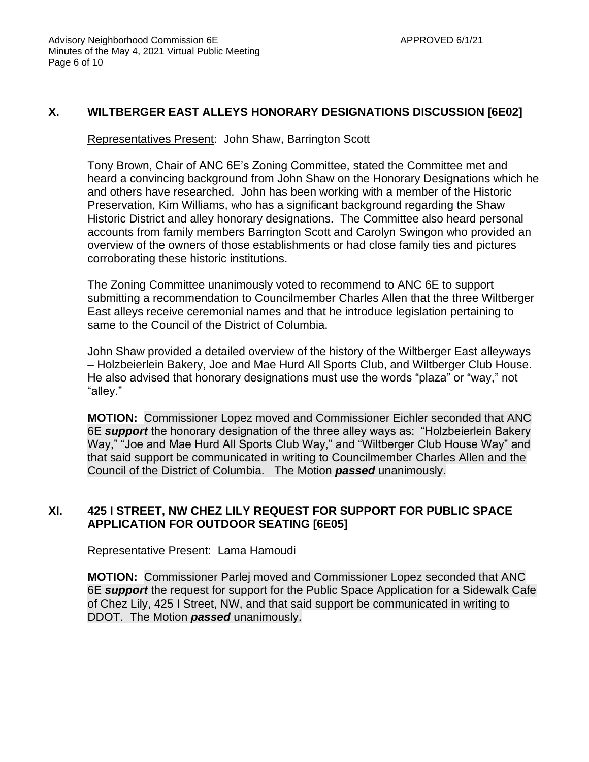# **X. WILTBERGER EAST ALLEYS HONORARY DESIGNATIONS DISCUSSION [6E02]**

Representatives Present: John Shaw, Barrington Scott

Tony Brown, Chair of ANC 6E's Zoning Committee, stated the Committee met and heard a convincing background from John Shaw on the Honorary Designations which he and others have researched. John has been working with a member of the Historic Preservation, Kim Williams, who has a significant background regarding the Shaw Historic District and alley honorary designations. The Committee also heard personal accounts from family members Barrington Scott and Carolyn Swingon who provided an overview of the owners of those establishments or had close family ties and pictures corroborating these historic institutions.

The Zoning Committee unanimously voted to recommend to ANC 6E to support submitting a recommendation to Councilmember Charles Allen that the three Wiltberger East alleys receive ceremonial names and that he introduce legislation pertaining to same to the Council of the District of Columbia.

John Shaw provided a detailed overview of the history of the Wiltberger East alleyways – Holzbeierlein Bakery, Joe and Mae Hurd All Sports Club, and Wiltberger Club House. He also advised that honorary designations must use the words "plaza" or "way," not "alley."

**MOTION:** Commissioner Lopez moved and Commissioner Eichler seconded that ANC 6E *support* the honorary designation of the three alley ways as: "Holzbeierlein Bakery Way," "Joe and Mae Hurd All Sports Club Way," and "Wiltberger Club House Way" and that said support be communicated in writing to Councilmember Charles Allen and the Council of the District of Columbia. The Motion *passed* unanimously.

## **XI. 425 I STREET, NW CHEZ LILY REQUEST FOR SUPPORT FOR PUBLIC SPACE APPLICATION FOR OUTDOOR SEATING [6E05]**

Representative Present: Lama Hamoudi

**MOTION:** Commissioner Parlej moved and Commissioner Lopez seconded that ANC 6E *support* the request for support for the Public Space Application for a Sidewalk Cafe of Chez Lily, 425 I Street, NW, and that said support be communicated in writing to DDOT. The Motion *passed* unanimously.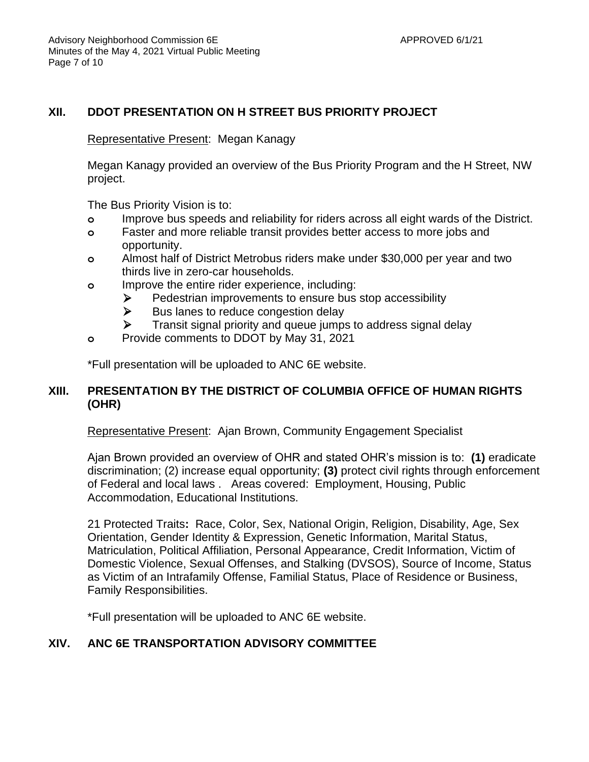## **XII. DDOT PRESENTATION ON H STREET BUS PRIORITY PROJECT**

#### Representative Present: Megan Kanagy

Megan Kanagy provided an overview of the Bus Priority Program and the H Street, NW project.

The Bus Priority Vision is to:

- **o** Improve bus speeds and reliability for riders across all eight wards of the District.
- **o** Faster and more reliable transit provides better access to more jobs and opportunity.
- **o** Almost half of District Metrobus riders make under \$30,000 per year and two thirds live in zero-car households.
- **o** Improve the entire rider experience, including:
	- ➢ Pedestrian improvements to ensure bus stop accessibility
	- $\triangleright$  Bus lanes to reduce congestion delay
	- ➢ Transit signal priority and queue jumps to address signal delay
- **o** Provide comments to DDOT by May 31, 2021

\*Full presentation will be uploaded to ANC 6E website.

### **XIII. PRESENTATION BY THE DISTRICT OF COLUMBIA OFFICE OF HUMAN RIGHTS (OHR)**

Representative Present: Ajan Brown, Community Engagement Specialist

Ajan Brown provided an overview of OHR and stated OHR's mission is to: **(1)** eradicate discrimination; (2) increase equal opportunity; **(3)** protect civil rights through enforcement of Federal and local laws . Areas covered: Employment, Housing, Public Accommodation, Educational Institutions.

21 Protected Traits**:** Race, Color, Sex, National Origin, Religion, Disability, Age, Sex Orientation, Gender Identity & Expression, Genetic Information, Marital Status, Matriculation, Political Affiliation, Personal Appearance, Credit Information, Victim of Domestic Violence, Sexual Offenses, and Stalking (DVSOS), Source of Income, Status as Victim of an Intrafamily Offense, Familial Status, Place of Residence or Business, Family Responsibilities.

\*Full presentation will be uploaded to ANC 6E website.

## **XIV. ANC 6E TRANSPORTATION ADVISORY COMMITTEE**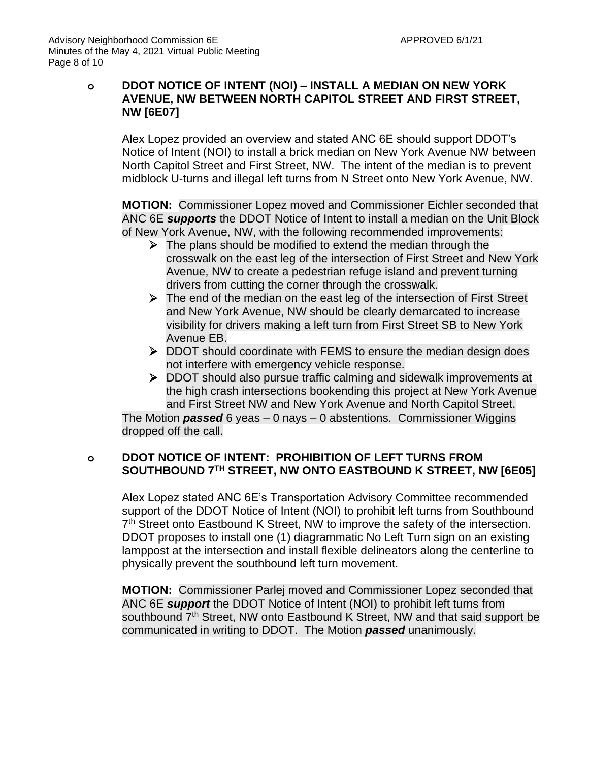## **o DDOT NOTICE OF INTENT (NOI) – INSTALL A MEDIAN ON NEW YORK AVENUE, NW BETWEEN NORTH CAPITOL STREET AND FIRST STREET, NW [6E07]**

Alex Lopez provided an overview and stated ANC 6E should support DDOT's Notice of Intent (NOI) to install a brick median on New York Avenue NW between North Capitol Street and First Street, NW. The intent of the median is to prevent midblock U-turns and illegal left turns from N Street onto New York Avenue, NW.

**MOTION:** Commissioner Lopez moved and Commissioner Eichler seconded that ANC 6E *supports* the DDOT Notice of Intent to install a median on the Unit Block of New York Avenue, NW, with the following recommended improvements:

- $\triangleright$  The plans should be modified to extend the median through the crosswalk on the east leg of the intersection of First Street and New York Avenue, NW to create a pedestrian refuge island and prevent turning drivers from cutting the corner through the crosswalk.
- ➢ The end of the median on the east leg of the intersection of First Street and New York Avenue, NW should be clearly demarcated to increase visibility for drivers making a left turn from First Street SB to New York Avenue EB.
- ➢ DDOT should coordinate with FEMS to ensure the median design does not interfere with emergency vehicle response.
- ➢ DDOT should also pursue traffic calming and sidewalk improvements at the high crash intersections bookending this project at New York Avenue and First Street NW and New York Avenue and North Capitol Street.

The Motion *passed* 6 yeas – 0 nays – 0 abstentions. Commissioner Wiggins dropped off the call.

## **o DDOT NOTICE OF INTENT: PROHIBITION OF LEFT TURNS FROM SOUTHBOUND 7TH STREET, NW ONTO EASTBOUND K STREET, NW [6E05]**

Alex Lopez stated ANC 6E's Transportation Advisory Committee recommended support of the DDOT Notice of Intent (NOI) to prohibit left turns from Southbound 7<sup>th</sup> Street onto Eastbound K Street, NW to improve the safety of the intersection. DDOT proposes to install one (1) diagrammatic No Left Turn sign on an existing lamppost at the intersection and install flexible delineators along the centerline to physically prevent the southbound left turn movement.

**MOTION:** Commissioner Parlej moved and Commissioner Lopez seconded that ANC 6E *support* the DDOT Notice of Intent (NOI) to prohibit left turns from southbound 7<sup>th</sup> Street, NW onto Eastbound K Street, NW and that said support be communicated in writing to DDOT. The Motion *passed* unanimously.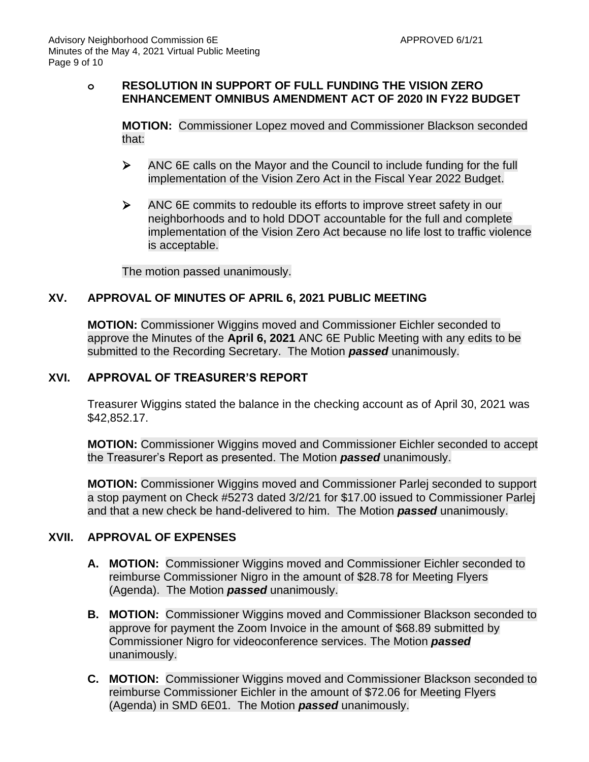## **o RESOLUTION IN SUPPORT OF FULL FUNDING THE VISION ZERO ENHANCEMENT OMNIBUS AMENDMENT ACT OF 2020 IN FY22 BUDGET**

**MOTION:** Commissioner Lopez moved and Commissioner Blackson seconded that:

- ➢ ANC 6E calls on the Mayor and the Council to include funding for the full implementation of the Vision Zero Act in the Fiscal Year 2022 Budget.
- ➢ ANC 6E commits to redouble its efforts to improve street safety in our neighborhoods and to hold DDOT accountable for the full and complete implementation of the Vision Zero Act because no life lost to traffic violence is acceptable.

The motion passed unanimously.

## **XV. APPROVAL OF MINUTES OF APRIL 6, 2021 PUBLIC MEETING**

**MOTION:** Commissioner Wiggins moved and Commissioner Eichler seconded to approve the Minutes of the **April 6, 2021** ANC 6E Public Meeting with any edits to be submitted to the Recording Secretary. The Motion *passed* unanimously.

#### **XVI. APPROVAL OF TREASURER'S REPORT**

Treasurer Wiggins stated the balance in the checking account as of April 30, 2021 was \$42,852.17.

**MOTION:** Commissioner Wiggins moved and Commissioner Eichler seconded to accept the Treasurer's Report as presented. The Motion *passed* unanimously.

**MOTION:** Commissioner Wiggins moved and Commissioner Parlej seconded to support a stop payment on Check #5273 dated 3/2/21 for \$17.00 issued to Commissioner Parlej and that a new check be hand-delivered to him. The Motion *passed* unanimously.

### **XVII. APPROVAL OF EXPENSES**

- **A. MOTION:** Commissioner Wiggins moved and Commissioner Eichler seconded to reimburse Commissioner Nigro in the amount of \$28.78 for Meeting Flyers (Agenda). The Motion *passed* unanimously.
- **B. MOTION:** Commissioner Wiggins moved and Commissioner Blackson seconded to approve for payment the Zoom Invoice in the amount of \$68.89 submitted by Commissioner Nigro for videoconference services. The Motion *passed* unanimously.
- **C. MOTION:** Commissioner Wiggins moved and Commissioner Blackson seconded to reimburse Commissioner Eichler in the amount of \$72.06 for Meeting Flyers (Agenda) in SMD 6E01. The Motion *passed* unanimously.